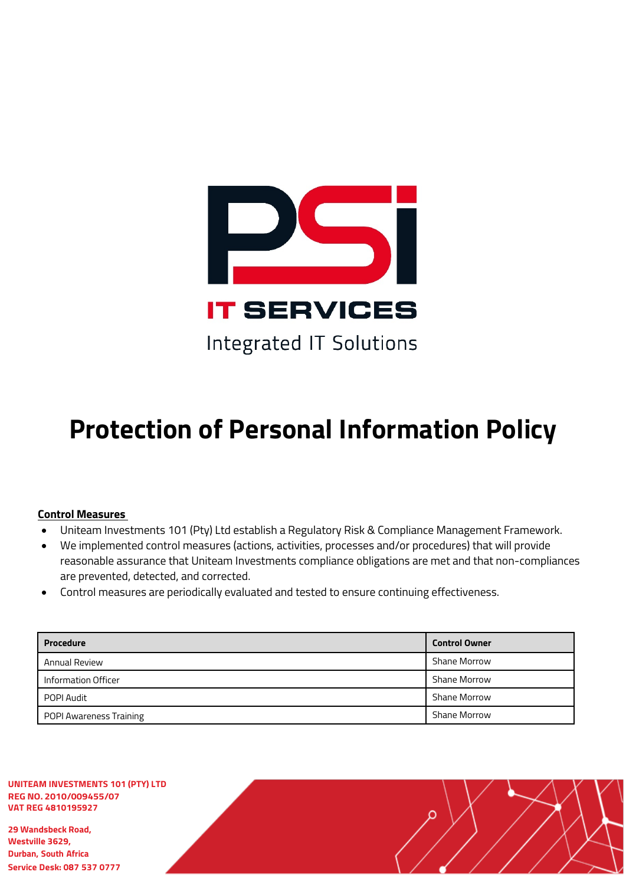

# **Protection of Personal Information Policy**

## **Control Measures**

- Uniteam Investments 101 (Pty) Ltd establish a Regulatory Risk & Compliance Management Framework.
- We implemented control measures (actions, activities, processes and/or procedures) that will provide reasonable assurance that Uniteam Investments compliance obligations are met and that non-compliances are prevented, detected, and corrected.
- Control measures are periodically evaluated and tested to ensure continuing effectiveness.

| <b>Procedure</b>        | <b>Control Owner</b> |
|-------------------------|----------------------|
| <b>Annual Review</b>    | Shane Morrow         |
| Information Officer     | <b>Shane Morrow</b>  |
| POPI Audit              | <b>Shane Morrow</b>  |
| POPI Awareness Training | <b>Shane Morrow</b>  |

**UNITEAM INVESTMENTS 101 (PTY) LTD REG NO. 2010/009455/07 VAT REG 4810195927**

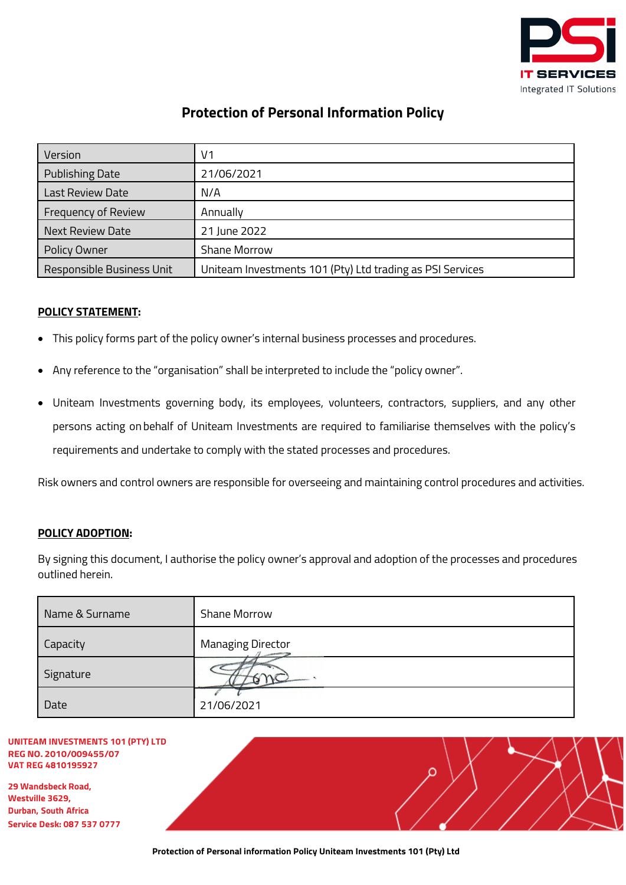

## **Protection of Personal Information Policy**

| Version                   | V1                                                        |
|---------------------------|-----------------------------------------------------------|
| <b>Publishing Date</b>    | 21/06/2021                                                |
| Last Review Date          | N/A                                                       |
| Frequency of Review       | Annually                                                  |
| <b>Next Review Date</b>   | 21 June 2022                                              |
| Policy Owner              | Shane Morrow                                              |
| Responsible Business Unit | Uniteam Investments 101 (Pty) Ltd trading as PSI Services |

## <span id="page-1-0"></span>**POLICY STATEMENT:**

- This policy forms part of the policy owner's internal business processes and procedures.
- Any reference to the "organisation" shall be interpreted to include the "policy owner".
- Uniteam Investments governing body, its employees, volunteers, contractors, suppliers, and any other persons acting on behalf of Uniteam Investments are required to familiarise themselves with the policy's requirements and undertake to comply with the stated processes and procedures.

Risk owners and control owners are responsible for overseeing and maintaining control procedures and activities.

### <span id="page-1-1"></span>**POLICY ADOPTION:**

By signing this document, I authorise the policy owner's approval and adoption of the processes and procedures outlined herein.

| Name & Surname | <b>Shane Morrow</b>      |
|----------------|--------------------------|
| Capacity       | <b>Managing Director</b> |
| Signature      |                          |
| Date           | 21/06/2021               |

#### **UNITEAM INVESTMENTS 101 (PTY) LTD REG NO. 2010/009455/07 VAT REG 4810195927**

**29 Wandsbeck Road, Westville 3629, Durban, South Africa Service Desk: 087 537 0777**

| 777 |  |
|-----|--|

 $\sim$  /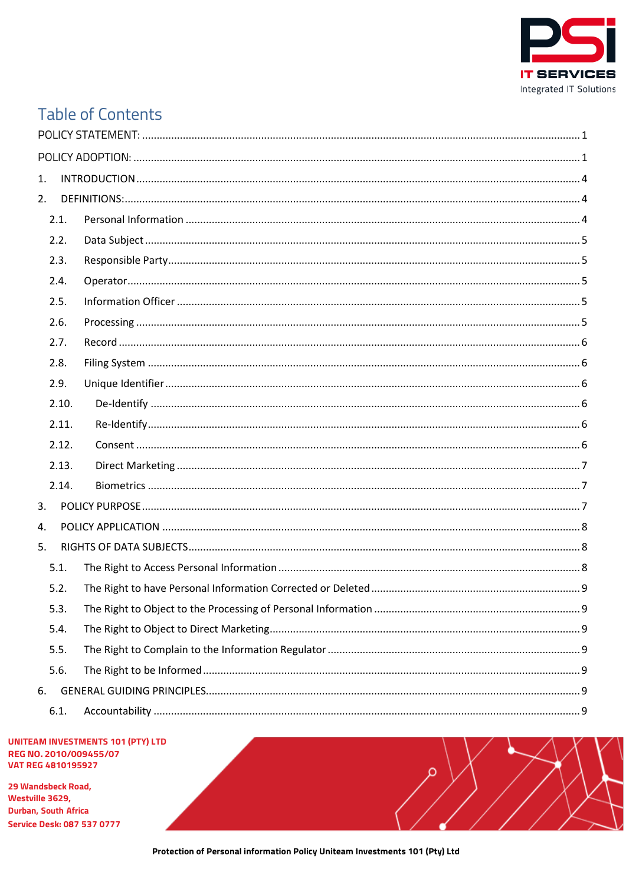

# **Table of Contents**

| 1.             |  |
|----------------|--|
| 2.             |  |
| 2.1.           |  |
| 2.2.           |  |
| 2.3.           |  |
| 2.4.           |  |
| 2.5.           |  |
| 2.6.           |  |
| 2.7.           |  |
| 2.8.           |  |
| 2.9.           |  |
| 2.10.          |  |
| 2.11.          |  |
| 2.12.          |  |
| 2.13.          |  |
| 2.14.          |  |
| 3.             |  |
| $\mathbf{4}$ . |  |
| 5.             |  |
| 5.1.           |  |
| 5.2.           |  |
| 5.3.           |  |
| 5.4.           |  |
| 5.5.           |  |
| 5.6.           |  |
| 6.             |  |
| 6.1.           |  |

#### **UNITEAM INVESTMENTS 101 (PTY) LTD** REG NO. 2010/009455/07 **VAT REG 4810195927**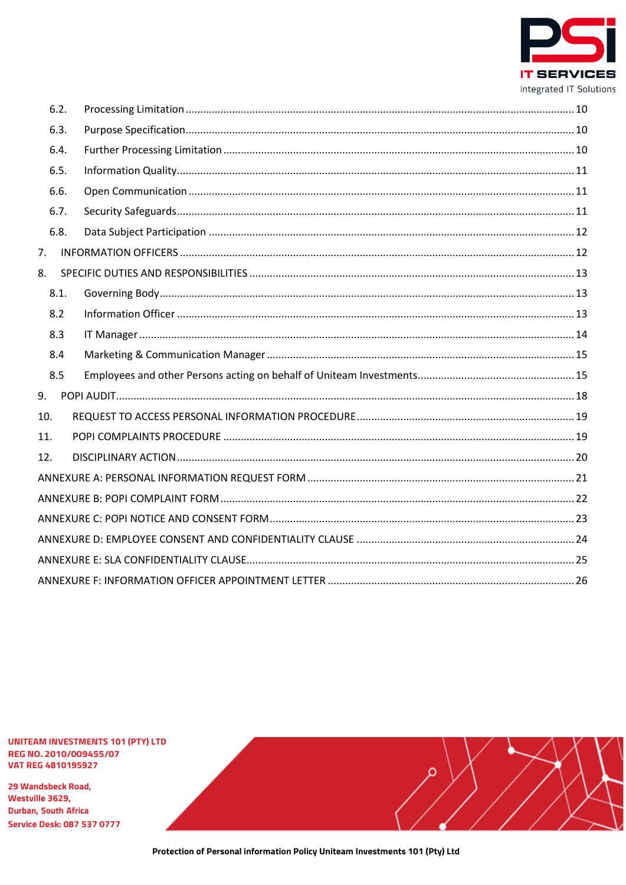

|     | 6.2. |  |
|-----|------|--|
|     | 6.3. |  |
|     | 6.4. |  |
|     | 6.5. |  |
|     | 6.6. |  |
|     | 6.7. |  |
|     | 6.8. |  |
| 7.  |      |  |
| 8.  |      |  |
|     | 8.1. |  |
|     | 8.2  |  |
|     | 8.3  |  |
|     | 8.4  |  |
|     | 8.5  |  |
| 9.  |      |  |
| 10. |      |  |
| 11. |      |  |
| 12. |      |  |
|     |      |  |
|     |      |  |
|     |      |  |
|     |      |  |
|     |      |  |
|     |      |  |

**UNITEAM INVESTMENTS 101 (PTY) LTD** REG NO. 2010/009455/07 **VAT REG 4810195927** 

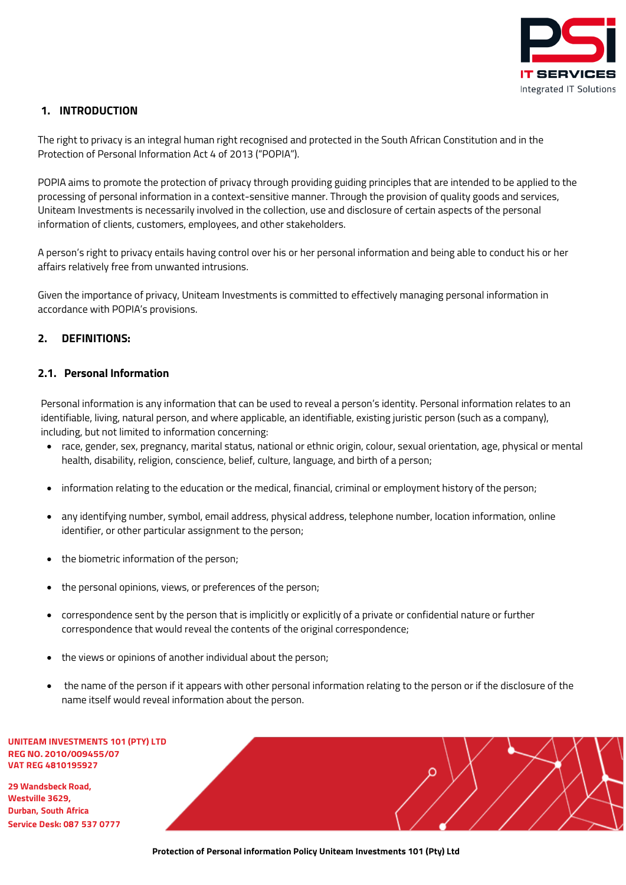

## <span id="page-4-0"></span>**1. INTRODUCTION**

The right to privacy is an integral human right recognised and protected in the South African Constitution and in the Protection of Personal Information Act 4 of 2013 ("POPIA").

POPIA aims to promote the protection of privacy through providing guiding principles that are intended to be applied to the processing of personal information in a context-sensitive manner. Through the provision of quality goods and services, Uniteam Investments is necessarily involved in the collection, use and disclosure of certain aspects of the personal information of clients, customers, employees, and other stakeholders.

A person's right to privacy entails having control over his or her personal information and being able to conduct his or her affairs relatively free from unwanted intrusions.

Given the importance of privacy, Uniteam Investments is committed to effectively managing personal information in accordance with POPIA's provisions.

## <span id="page-4-1"></span>**2. DEFINITIONS:**

## <span id="page-4-2"></span>**2.1. Personal Information**

Personal information is any information that can be used to reveal a person's identity. Personal information relates to an identifiable, living, natural person, and where applicable, an identifiable, existing juristic person (such as a company), including, but not limited to information concerning:

- race, gender, sex, pregnancy, marital status, national or ethnic origin, colour, sexual orientation, age, physical or mental health, disability, religion, conscience, belief, culture, language, and birth of a person;
- information relating to the education or the medical, financial, criminal or employment history of the person;
- any identifying number, symbol, email address, physical address, telephone number, location information, online identifier, or other particular assignment to the person;
- the biometric information of the person;
- the personal opinions, views, or preferences of the person;
- correspondence sent by the person that is implicitly or explicitly of a private or confidential nature or further correspondence that would reveal the contents of the original correspondence;
- the views or opinions of another individual about the person;
- the name of the person if it appears with other personal information relating to the person or if the disclosure of the name itself would reveal information about the person.

**UNITEAM INVESTMENTS 101 (PTY) LTD REG NO. 2010/009455/07 VAT REG 4810195927**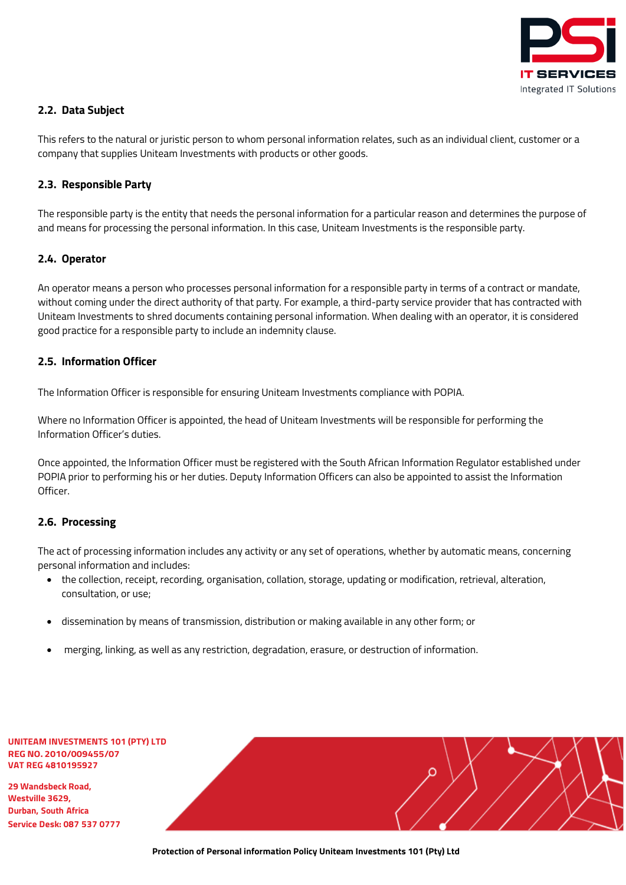

## <span id="page-5-0"></span>**2.2. Data Subject**

This refers to the natural or juristic person to whom personal information relates, such as an individual client, customer or a company that supplies Uniteam Investments with products or other goods.

### <span id="page-5-1"></span>**2.3. Responsible Party**

The responsible party is the entity that needs the personal information for a particular reason and determines the purpose of and means for processing the personal information. In this case, Uniteam Investments is the responsible party.

### <span id="page-5-2"></span>**2.4. Operator**

An operator means a person who processes personal information for a responsible party in terms of a contract or mandate, without coming under the direct authority of that party. For example, a third-party service provider that has contracted with Uniteam Investments to shred documents containing personal information. When dealing with an operator, it is considered good practice for a responsible party to include an indemnity clause.

### <span id="page-5-3"></span>**2.5. Information Officer**

The Information Officer is responsible for ensuring Uniteam Investments compliance with POPIA.

Where no Information Officer is appointed, the head of Uniteam Investments will be responsible for performing the Information Officer's duties.

Once appointed, the Information Officer must be registered with the South African Information Regulator established under POPIA prior to performing his or her duties. Deputy Information Officers can also be appointed to assist the Information Officer.

## <span id="page-5-4"></span>**2.6. Processing**

The act of processing information includes any activity or any set of operations, whether by automatic means, concerning personal information and includes:

- the collection, receipt, recording, organisation, collation, storage, updating or modification, retrieval, alteration, consultation, or use;
- dissemination by means of transmission, distribution or making available in any other form; or
- merging, linking, as well as any restriction, degradation, erasure, or destruction of information.

| UNITEAM INVESTMENTS 101 (PTY) LTD |
|-----------------------------------|
| <b>REG NO. 2010/009455/07</b>     |
| VAT REG 4810195927                |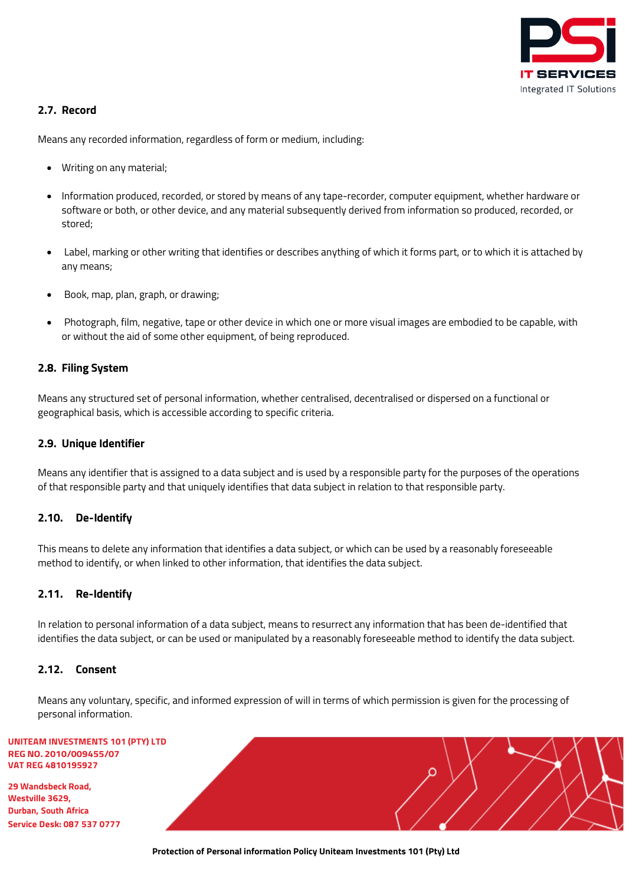

## <span id="page-6-0"></span>**2.7. Record**

Means any recorded information, regardless of form or medium, including:

- Writing on any material;
- Information produced, recorded, or stored by means of any tape-recorder, computer equipment, whether hardware or software or both, or other device, and any material subsequently derived from information so produced, recorded, or stored;
- Label, marking or other writing that identifies or describes anything of which it forms part, or to which it is attached by any means;
- Book, map, plan, graph, or drawing;
- Photograph, film, negative, tape or other device in which one or more visual images are embodied to be capable, with or without the aid of some other equipment, of being reproduced.

### <span id="page-6-1"></span>**2.8. Filing System**

Means any structured set of personal information, whether centralised, decentralised or dispersed on a functional or geographical basis, which is accessible according to specific criteria.

#### <span id="page-6-2"></span>**2.9. Unique Identifier**

Means any identifier that is assigned to a data subject and is used by a responsible party for the purposes of the operations of that responsible party and that uniquely identifies that data subject in relation to that responsible party.

### <span id="page-6-3"></span>**2.10. De-Identify**

This means to delete any information that identifies a data subject, or which can be used by a reasonably foreseeable method to identify, or when linked to other information, that identifies the data subject.

#### <span id="page-6-4"></span>**2.11. Re-Identify**

In relation to personal information of a data subject, means to resurrect any information that has been de-identified that identifies the data subject, or can be used or manipulated by a reasonably foreseeable method to identify the data subject.

#### <span id="page-6-5"></span>**2.12. Consent**

Means any voluntary, specific, and informed expression of will in terms of which permission is given for the processing of personal information.

#### **UNITEAM INVESTMENTS 101 (PTY) LTD REG NO. 2010/ VAT REG 48101**

| IMENIS TOT (PIT) LID<br>009455/07 |  |
|-----------------------------------|--|
| 95927                             |  |
| toad,                             |  |
| frica                             |  |
| 7 537 0777                        |  |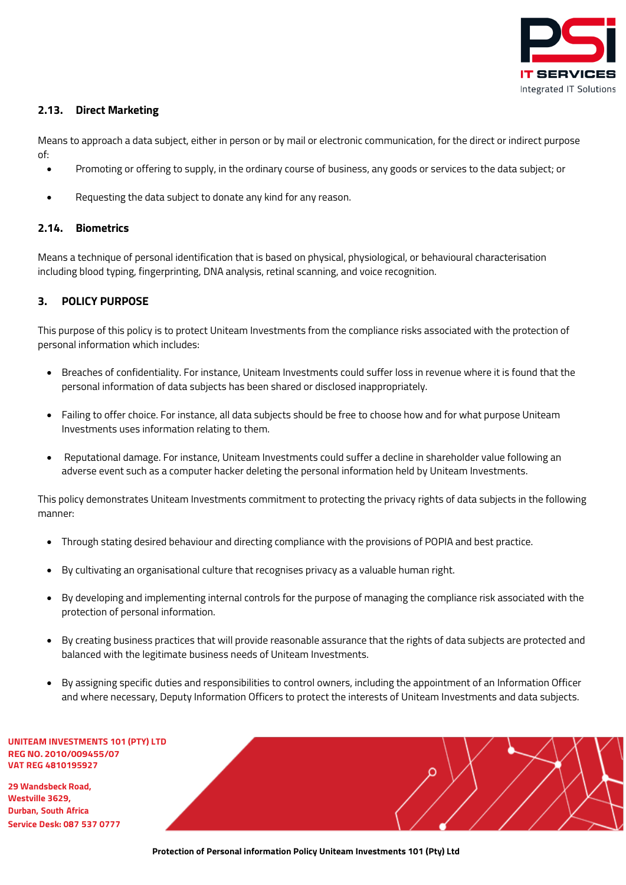

## <span id="page-7-0"></span>**2.13. Direct Marketing**

Means to approach a data subject, either in person or by mail or electronic communication, for the direct or indirect purpose of:

- Promoting or offering to supply, in the ordinary course of business, any goods or services to the data subject; or
- Requesting the data subject to donate any kind for any reason.

#### <span id="page-7-1"></span>**2.14. Biometrics**

Means a technique of personal identification that is based on physical, physiological, or behavioural characterisation including blood typing, fingerprinting, DNA analysis, retinal scanning, and voice recognition.

### <span id="page-7-2"></span>**3. POLICY PURPOSE**

This purpose of this policy is to protect Uniteam Investments from the compliance risks associated with the protection of personal information which includes:

- Breaches of confidentiality. For instance, Uniteam Investments could suffer loss in revenue where it is found that the personal information of data subjects has been shared or disclosed inappropriately.
- Failing to offer choice. For instance, all data subjects should be free to choose how and for what purpose Uniteam Investments uses information relating to them.
- Reputational damage. For instance, Uniteam Investments could suffer a decline in shareholder value following an adverse event such as a computer hacker deleting the personal information held by Uniteam Investments.

This policy demonstrates Uniteam Investments commitment to protecting the privacy rights of data subjects in the following manner:

- Through stating desired behaviour and directing compliance with the provisions of POPIA and best practice.
- By cultivating an organisational culture that recognises privacy as a valuable human right.
- By developing and implementing internal controls for the purpose of managing the compliance risk associated with the protection of personal information.
- By creating business practices that will provide reasonable assurance that the rights of data subjects are protected and balanced with the legitimate business needs of Uniteam Investments.
- By assigning specific duties and responsibilities to control owners, including the appointment of an Information Officer and where necessary, Deputy Information Officers to protect the interests of Uniteam Investments and data subjects.

**UNITEAM INVESTMENTS 101 (PTY) LTD REG NO. 2010/009455/07 VAT REG 4810195927**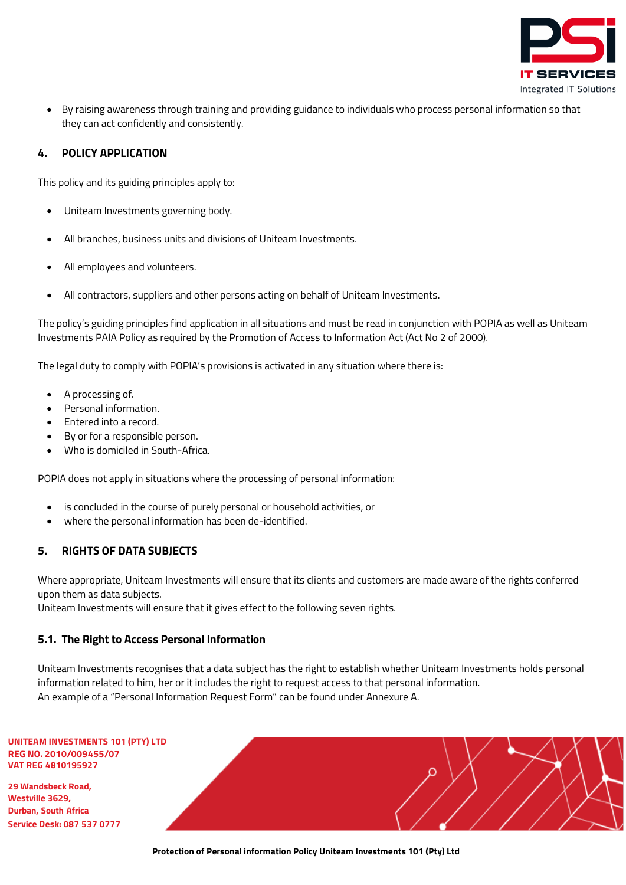

• By raising awareness through training and providing guidance to individuals who process personal information so that they can act confidently and consistently.

## <span id="page-8-0"></span>**4. POLICY APPLICATION**

This policy and its guiding principles apply to:

- Uniteam Investments governing body.
- All branches, business units and divisions of Uniteam Investments.
- All employees and volunteers.
- All contractors, suppliers and other persons acting on behalf of Uniteam Investments.

The policy's guiding principles find application in all situations and must be read in conjunction with POPIA as well as Uniteam Investments PAIA Policy as required by the Promotion of Access to Information Act (Act No 2 of 2000).

The legal duty to comply with POPIA's provisions is activated in any situation where there is:

- A processing of.
- Personal information.
- Entered into a record.
- By or for a responsible person.
- Who is domiciled in South-Africa.

POPIA does not apply in situations where the processing of personal information:

- is concluded in the course of purely personal or household activities, or
- where the personal information has been de-identified.

### <span id="page-8-1"></span>**5. RIGHTS OF DATA SUBJECTS**

Where appropriate, Uniteam Investments will ensure that its clients and customers are made aware of the rights conferred upon them as data subjects.

Uniteam Investments will ensure that it gives effect to the following seven rights.

## <span id="page-8-2"></span>**5.1. The Right to Access Personal Information**

Uniteam Investments recognises that a data subject has the right to establish whether Uniteam Investments holds personal information related to him, her or it includes the right to request access to that personal information. An example of a "Personal Information Request Form" can be found under Annexure A.

| UNITEAM INVESTMENTS 101 (PTY) LTD |
|-----------------------------------|
| <b>REG NO. 2010/009455/07</b>     |
| VAT REG 4810195927                |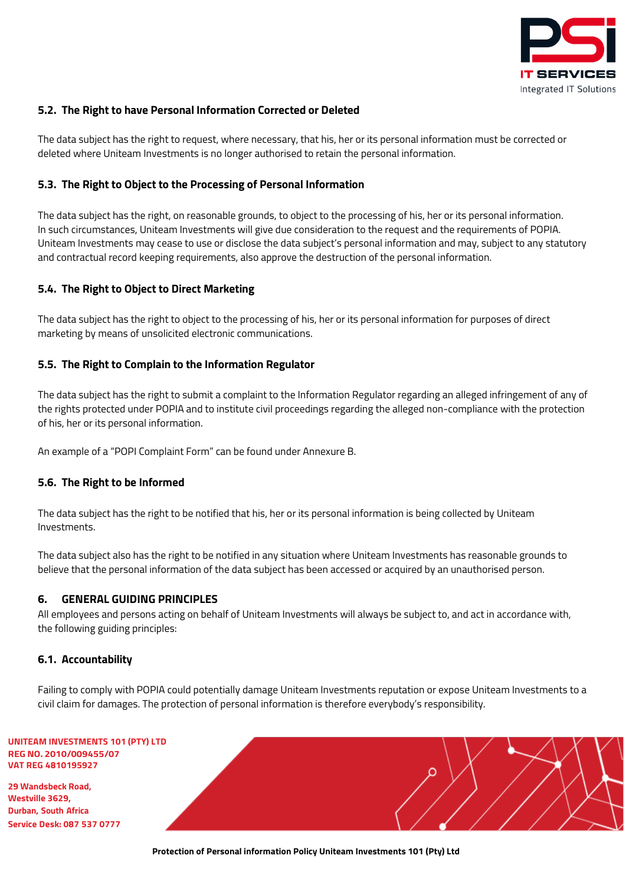

## <span id="page-9-0"></span>**5.2. The Right to have Personal Information Corrected or Deleted**

The data subject has the right to request, where necessary, that his, her or its personal information must be corrected or deleted where Uniteam Investments is no longer authorised to retain the personal information.

### <span id="page-9-1"></span>**5.3. The Right to Object to the Processing of Personal Information**

The data subject has the right, on reasonable grounds, to object to the processing of his, her or its personal information. In such circumstances, Uniteam Investments will give due consideration to the request and the requirements of POPIA. Uniteam Investments may cease to use or disclose the data subject's personal information and may, subject to any statutory and contractual record keeping requirements, also approve the destruction of the personal information.

## <span id="page-9-2"></span>**5.4. The Right to Object to Direct Marketing**

The data subject has the right to object to the processing of his, her or its personal information for purposes of direct marketing by means of unsolicited electronic communications.

## <span id="page-9-3"></span>**5.5. The Right to Complain to the Information Regulator**

The data subject has the right to submit a complaint to the Information Regulator regarding an alleged infringement of any of the rights protected under POPIA and to institute civil proceedings regarding the alleged non-compliance with the protection of his, her or its personal information.

An example of a "POPI Complaint Form" can be found under Annexure B.

### <span id="page-9-4"></span>**5.6. The Right to be Informed**

The data subject has the right to be notified that his, her or its personal information is being collected by Uniteam Investments.

The data subject also has the right to be notified in any situation where Uniteam Investments has reasonable grounds to believe that the personal information of the data subject has been accessed or acquired by an unauthorised person.

### <span id="page-9-5"></span>**6. GENERAL GUIDING PRINCIPLES**

All employees and persons acting on behalf of Uniteam Investments will always be subject to, and act in accordance with, the following guiding principles:

### <span id="page-9-6"></span>**6.1. Accountability**

Failing to comply with POPIA could potentially damage Uniteam Investments reputation or expose Uniteam Investments to a civil claim for damages. The protection of personal information is therefore everybody's responsibility.

| UNITEAM INVESTMENTS 101 (PTY) LTD |
|-----------------------------------|
| <b>REG NO. 2010/009455/07</b>     |
| VAT REG 4810195927                |

**29 Wandsbeck Road, Westville 3629, Durban, South Africa Service Desk: 087 537 0777**

**Protection of Personal information Policy Uniteam Investments 101 (Pty) Ltd**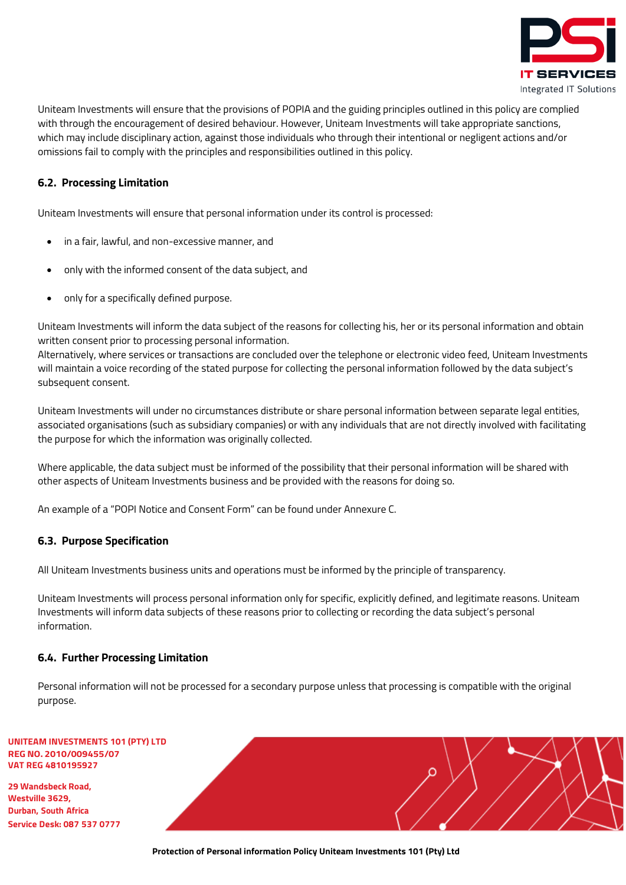

Uniteam Investments will ensure that the provisions of POPIA and the guiding principles outlined in this policy are complied with through the encouragement of desired behaviour. However, Uniteam Investments will take appropriate sanctions, which may include disciplinary action, against those individuals who through their intentional or negligent actions and/or omissions fail to comply with the principles and responsibilities outlined in this policy.

## <span id="page-10-0"></span>**6.2. Processing Limitation**

Uniteam Investments will ensure that personal information under its control is processed:

- in a fair, lawful, and non-excessive manner, and
- only with the informed consent of the data subject, and
- only for a specifically defined purpose.

Uniteam Investments will inform the data subject of the reasons for collecting his, her or its personal information and obtain written consent prior to processing personal information.

Alternatively, where services or transactions are concluded over the telephone or electronic video feed, Uniteam Investments will maintain a voice recording of the stated purpose for collecting the personal information followed by the data subject's subsequent consent.

Uniteam Investments will under no circumstances distribute or share personal information between separate legal entities, associated organisations (such as subsidiary companies) or with any individuals that are not directly involved with facilitating the purpose for which the information was originally collected.

Where applicable, the data subject must be informed of the possibility that their personal information will be shared with other aspects of Uniteam Investments business and be provided with the reasons for doing so.

An example of a "POPI Notice and Consent Form" can be found under Annexure C.

## <span id="page-10-1"></span>**6.3. Purpose Specification**

All Uniteam Investments business units and operations must be informed by the principle of transparency.

Uniteam Investments will process personal information only for specific, explicitly defined, and legitimate reasons. Uniteam Investments will inform data subjects of these reasons prior to collecting or recording the data subject's personal information.

## <span id="page-10-2"></span>**6.4. Further Processing Limitation**

Personal information will not be processed for a secondary purpose unless that processing is compatible with the original purpose.

#### **UNITEAM INVESTMENTS 101 (PTY) LTD REG NO. 2010/009455/07 VAT REG 4810195927**

| $-1011111110$<br>5/07 |  |
|-----------------------|--|
|                       |  |
| )777                  |  |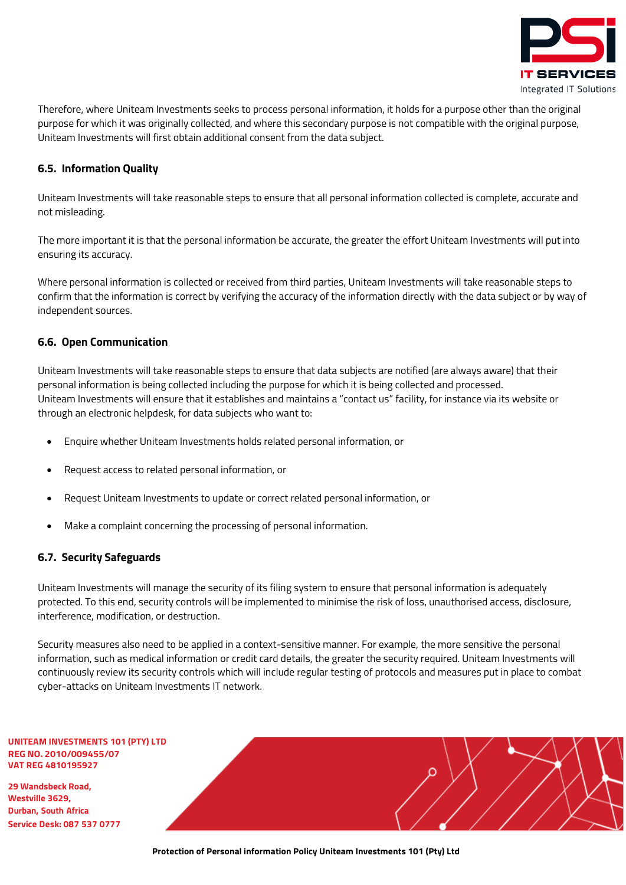

Therefore, where Uniteam Investments seeks to process personal information, it holds for a purpose other than the original purpose for which it was originally collected, and where this secondary purpose is not compatible with the original purpose, Uniteam Investments will first obtain additional consent from the data subject.

## <span id="page-11-0"></span>**6.5. Information Quality**

Uniteam Investments will take reasonable steps to ensure that all personal information collected is complete, accurate and not misleading.

The more important it is that the personal information be accurate, the greater the effort Uniteam Investments will put into ensuring its accuracy.

Where personal information is collected or received from third parties, Uniteam Investments will take reasonable steps to confirm that the information is correct by verifying the accuracy of the information directly with the data subject or by way of independent sources.

## <span id="page-11-1"></span>**6.6. Open Communication**

Uniteam Investments will take reasonable steps to ensure that data subjects are notified (are always aware) that their personal information is being collected including the purpose for which it is being collected and processed. Uniteam Investments will ensure that it establishes and maintains a "contact us" facility, for instance via its website or through an electronic helpdesk, for data subjects who want to:

- Enquire whether Uniteam Investments holds related personal information, or
- Request access to related personal information, or
- Request Uniteam Investments to update or correct related personal information, or
- Make a complaint concerning the processing of personal information.

## <span id="page-11-2"></span>**6.7. Security Safeguards**

Uniteam Investments will manage the security of its filing system to ensure that personal information is adequately protected. To this end, security controls will be implemented to minimise the risk of loss, unauthorised access, disclosure, interference, modification, or destruction.

Security measures also need to be applied in a context-sensitive manner. For example, the more sensitive the personal information, such as medical information or credit card details, the greater the security required. Uniteam Investments will continuously review its security controls which will include regular testing of protocols and measures put in place to combat cyber-attacks on Uniteam Investments IT network.

**UNITEAM INVESTMENTS 101 (PTY) LTD REG NO. 2010/009455/07 VAT REG 4810195927**

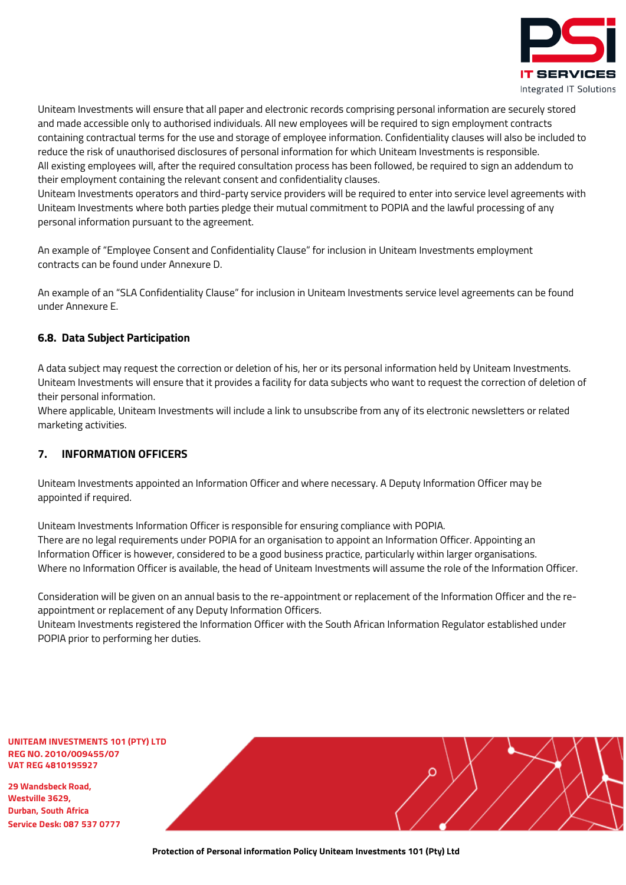

Uniteam Investments will ensure that all paper and electronic records comprising personal information are securely stored and made accessible only to authorised individuals. All new employees will be required to sign employment contracts containing contractual terms for the use and storage of employee information. Confidentiality clauses will also be included to reduce the risk of unauthorised disclosures of personal information for which Uniteam Investments is responsible. All existing employees will, after the required consultation process has been followed, be required to sign an addendum to their employment containing the relevant consent and confidentiality clauses.

Uniteam Investments operators and third-party service providers will be required to enter into service level agreements with Uniteam Investments where both parties pledge their mutual commitment to POPIA and the lawful processing of any personal information pursuant to the agreement.

An example of "Employee Consent and Confidentiality Clause" for inclusion in Uniteam Investments employment contracts can be found under Annexure D.

An example of an "SLA Confidentiality Clause" for inclusion in Uniteam Investments service level agreements can be found under Annexure E.

## <span id="page-12-0"></span>**6.8. Data Subject Participation**

A data subject may request the correction or deletion of his, her or its personal information held by Uniteam Investments. Uniteam Investments will ensure that it provides a facility for data subjects who want to request the correction of deletion of their personal information.

Where applicable, Uniteam Investments will include a link to unsubscribe from any of its electronic newsletters or related marketing activities.

## <span id="page-12-1"></span>**7. INFORMATION OFFICERS**

Uniteam Investments appointed an Information Officer and where necessary. A Deputy Information Officer may be appointed if required.

Uniteam Investments Information Officer is responsible for ensuring compliance with POPIA. There are no legal requirements under POPIA for an organisation to appoint an Information Officer. Appointing an Information Officer is however, considered to be a good business practice, particularly within larger organisations. Where no Information Officer is available, the head of Uniteam Investments will assume the role of the Information Officer.

Consideration will be given on an annual basis to the re-appointment or replacement of the Information Officer and the reappointment or replacement of any Deputy Information Officers.

Uniteam Investments registered the Information Officer with the South African Information Regulator established under POPIA prior to performing her duties.

**UNITEAM INVESTMENTS 101 (PTY) LTD REG NO. 2010/009455/07 VAT REG 4810195927**

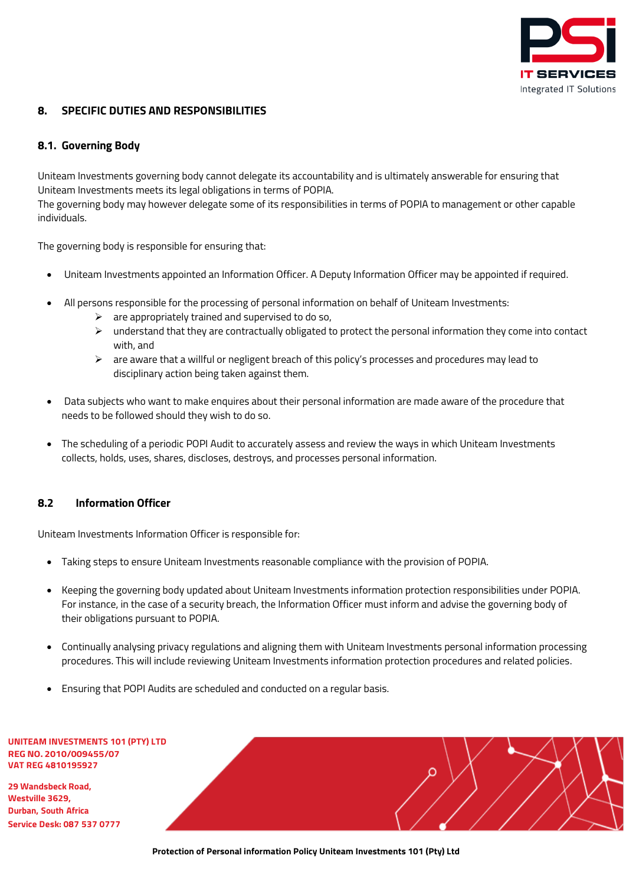

## <span id="page-13-0"></span>**8. SPECIFIC DUTIES AND RESPONSIBILITIES**

## <span id="page-13-1"></span>**8.1. Governing Body**

Uniteam Investments governing body cannot delegate its accountability and is ultimately answerable for ensuring that Uniteam Investments meets its legal obligations in terms of POPIA.

The governing body may however delegate some of its responsibilities in terms of POPIA to management or other capable individuals.

The governing body is responsible for ensuring that:

- Uniteam Investments appointed an Information Officer. A Deputy Information Officer may be appointed if required.
- All persons responsible for the processing of personal information on behalf of Uniteam Investments:
	- $\triangleright$  are appropriately trained and supervised to do so,
	- $\triangleright$  understand that they are contractually obligated to protect the personal information they come into contact with, and
	- $\triangleright$  are aware that a willful or negligent breach of this policy's processes and procedures may lead to disciplinary action being taken against them.
- Data subjects who want to make enquires about their personal information are made aware of the procedure that needs to be followed should they wish to do so.
- The scheduling of a periodic POPI Audit to accurately assess and review the ways in which Uniteam Investments collects, holds, uses, shares, discloses, destroys, and processes personal information.

## <span id="page-13-2"></span>**8.2 Information Officer**

Uniteam Investments Information Officer is responsible for:

- Taking steps to ensure Uniteam Investments reasonable compliance with the provision of POPIA.
- Keeping the governing body updated about Uniteam Investments information protection responsibilities under POPIA. For instance, in the case of a security breach, the Information Officer must inform and advise the governing body of their obligations pursuant to POPIA.
- Continually analysing privacy regulations and aligning them with Uniteam Investments personal information processing procedures. This will include reviewing Uniteam Investments information protection procedures and related policies.
- Ensuring that POPI Audits are scheduled and conducted on a regular basis.

| <b>UNITEAM INVESTMENTS 101 (PTY) LTD</b> |
|------------------------------------------|
| <b>REG NO. 2010/009455/07</b>            |
| VAT REG 4810195927                       |

**29 Wandsbeck Road, Westville 3629, Durban, South Africa Service Desk: 087 537 0777**

**Protection of Personal information Policy Uniteam Investments 101 (Pty) Ltd**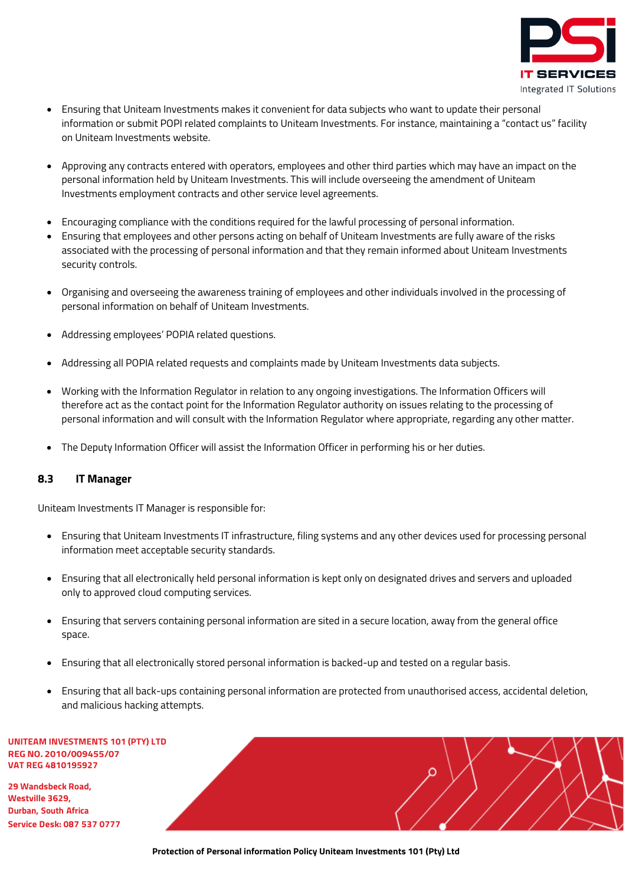

- Ensuring that Uniteam Investments makes it convenient for data subjects who want to update their personal information or submit POPI related complaints to Uniteam Investments. For instance, maintaining a "contact us" facility on Uniteam Investments website.
- Approving any contracts entered with operators, employees and other third parties which may have an impact on the personal information held by Uniteam Investments. This will include overseeing the amendment of Uniteam Investments employment contracts and other service level agreements.
- Encouraging compliance with the conditions required for the lawful processing of personal information.
- Ensuring that employees and other persons acting on behalf of Uniteam Investments are fully aware of the risks associated with the processing of personal information and that they remain informed about Uniteam Investments security controls.
- Organising and overseeing the awareness training of employees and other individuals involved in the processing of personal information on behalf of Uniteam Investments.
- Addressing employees' POPIA related questions.
- Addressing all POPIA related requests and complaints made by Uniteam Investments data subjects.
- Working with the Information Regulator in relation to any ongoing investigations. The Information Officers will therefore act as the contact point for the Information Regulator authority on issues relating to the processing of personal information and will consult with the Information Regulator where appropriate, regarding any other matter.
- The Deputy Information Officer will assist the Information Officer in performing his or her duties.

## <span id="page-14-0"></span>**8.3 IT Manager**

Uniteam Investments IT Manager is responsible for:

- Ensuring that Uniteam Investments IT infrastructure, filing systems and any other devices used for processing personal information meet acceptable security standards.
- Ensuring that all electronically held personal information is kept only on designated drives and servers and uploaded only to approved cloud computing services.
- Ensuring that servers containing personal information are sited in a secure location, away from the general office space.
- Ensuring that all electronically stored personal information is backed-up and tested on a regular basis.
- Ensuring that all back-ups containing personal information are protected from unauthorised access, accidental deletion, and malicious hacking attempts.

**UNITEAM INVESTMENTS 101 (PTY) LTD REG NO. 2010/009455/07 VAT REG 4810195927**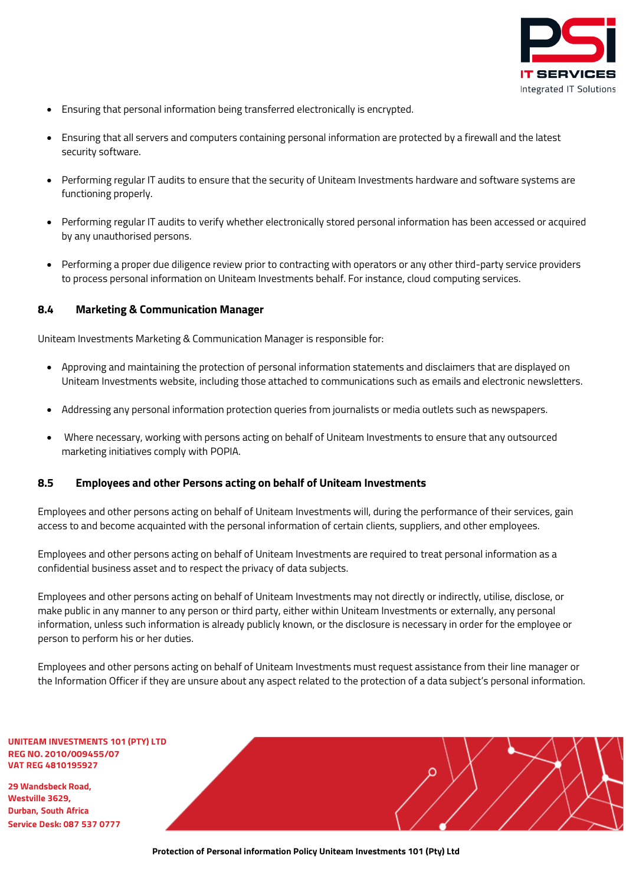

- Ensuring that personal information being transferred electronically is encrypted.
- Ensuring that all servers and computers containing personal information are protected by a firewall and the latest security software.
- Performing regular IT audits to ensure that the security of Uniteam Investments hardware and software systems are functioning properly.
- Performing regular IT audits to verify whether electronically stored personal information has been accessed or acquired by any unauthorised persons.
- Performing a proper due diligence review prior to contracting with operators or any other third-party service providers to process personal information on Uniteam Investments behalf. For instance, cloud computing services.

#### <span id="page-15-0"></span>**8.4 Marketing & Communication Manager**

Uniteam Investments Marketing & Communication Manager is responsible for:

- Approving and maintaining the protection of personal information statements and disclaimers that are displayed on Uniteam Investments website, including those attached to communications such as emails and electronic newsletters.
- Addressing any personal information protection queries from journalists or media outlets such as newspapers.
- Where necessary, working with persons acting on behalf of Uniteam Investments to ensure that any outsourced marketing initiatives comply with POPIA.

#### <span id="page-15-1"></span>**8.5 Employees and other Persons acting on behalf of Uniteam Investments**

Employees and other persons acting on behalf of Uniteam Investments will, during the performance of their services, gain access to and become acquainted with the personal information of certain clients, suppliers, and other employees.

Employees and other persons acting on behalf of Uniteam Investments are required to treat personal information as a confidential business asset and to respect the privacy of data subjects.

Employees and other persons acting on behalf of Uniteam Investments may not directly or indirectly, utilise, disclose, or make public in any manner to any person or third party, either within Uniteam Investments or externally, any personal information, unless such information is already publicly known, or the disclosure is necessary in order for the employee or person to perform his or her duties.

Employees and other persons acting on behalf of Uniteam Investments must request assistance from their line manager or the Information Officer if they are unsure about any aspect related to the protection of a data subject's personal information.

**UNITEAM INVESTMENTS 101 (PTY) LTD REG NO. 2010/009455/07 VAT REG 4810195927**

**29 Wandsbeck Road, Westville 3629, Durban, South Africa Service Desk: 087 537 0777**

**Protection of Personal information Policy Uniteam Investments 101 (Pty) Ltd**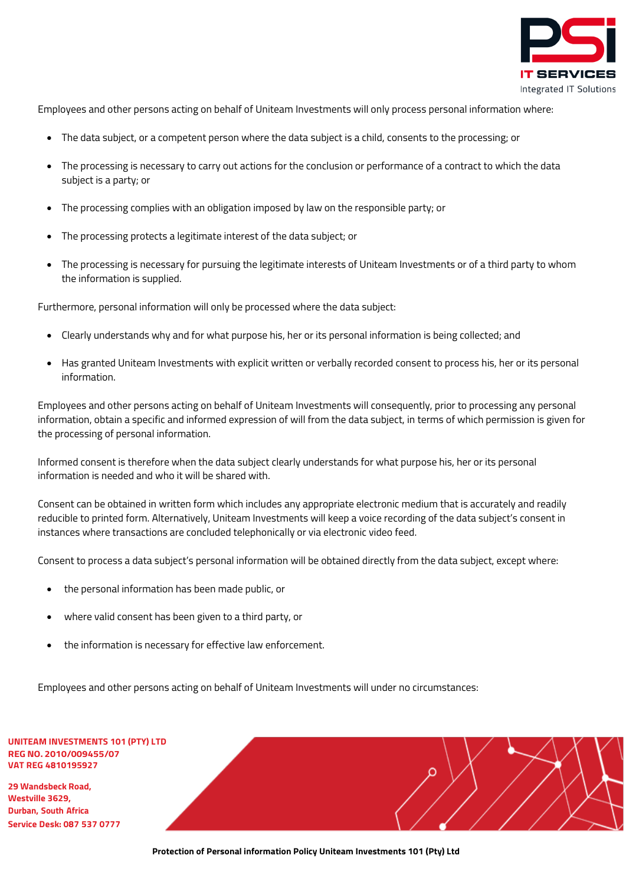

Employees and other persons acting on behalf of Uniteam Investments will only process personal information where:

- The data subject, or a competent person where the data subject is a child, consents to the processing; or
- The processing is necessary to carry out actions for the conclusion or performance of a contract to which the data subject is a party; or
- The processing complies with an obligation imposed by law on the responsible party; or
- The processing protects a legitimate interest of the data subject; or
- The processing is necessary for pursuing the legitimate interests of Uniteam Investments or of a third party to whom the information is supplied.

Furthermore, personal information will only be processed where the data subject:

- Clearly understands why and for what purpose his, her or its personal information is being collected; and
- Has granted Uniteam Investments with explicit written or verbally recorded consent to process his, her or its personal information.

Employees and other persons acting on behalf of Uniteam Investments will consequently, prior to processing any personal information, obtain a specific and informed expression of will from the data subject, in terms of which permission is given for the processing of personal information.

Informed consent is therefore when the data subject clearly understands for what purpose his, her or its personal information is needed and who it will be shared with.

Consent can be obtained in written form which includes any appropriate electronic medium that is accurately and readily reducible to printed form. Alternatively, Uniteam Investments will keep a voice recording of the data subject's consent in instances where transactions are concluded telephonically or via electronic video feed.

Consent to process a data subject's personal information will be obtained directly from the data subject, except where:

- the personal information has been made public, or
- where valid consent has been given to a third party, or
- the information is necessary for effective law enforcement.

Employees and other persons acting on behalf of Uniteam Investments will under no circumstances:

#### **UNITEAM INVESTMENTS 101 (PTY) LTD REG NO. 2010/009455/07 VAT REG 4810195927**

**29 Wandsbeck Road, Westville 3629, Durban, South Africa Service Desk: 087 537 0777**

**Protection of Personal information Policy Uniteam Investments 101 (Pty) Ltd**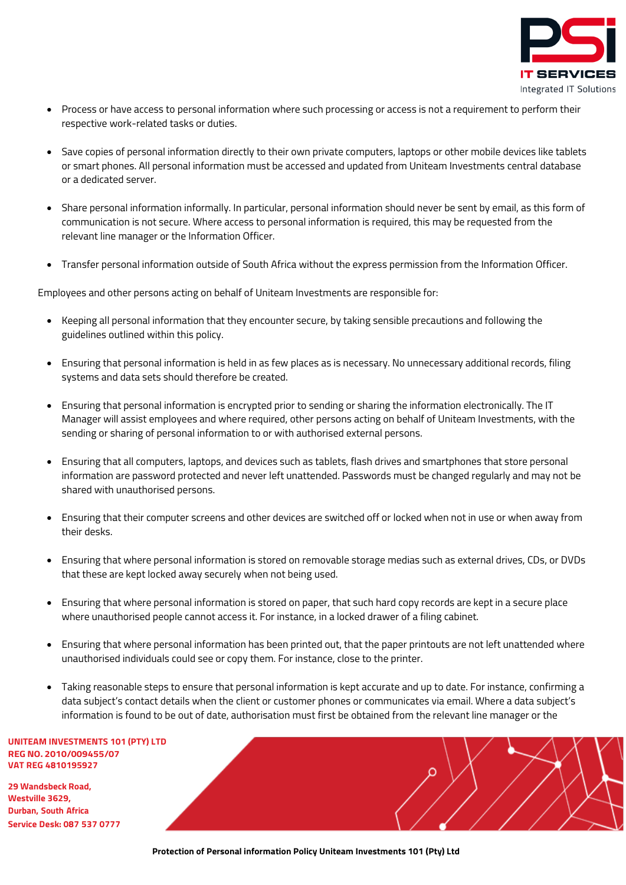

- Process or have access to personal information where such processing or access is not a requirement to perform their respective work-related tasks or duties.
- Save copies of personal information directly to their own private computers, laptops or other mobile devices like tablets or smart phones. All personal information must be accessed and updated from Uniteam Investments central database or a dedicated server.
- Share personal information informally. In particular, personal information should never be sent by email, as this form of communication is not secure. Where access to personal information is required, this may be requested from the relevant line manager or the Information Officer.
- Transfer personal information outside of South Africa without the express permission from the Information Officer.

Employees and other persons acting on behalf of Uniteam Investments are responsible for:

- Keeping all personal information that they encounter secure, by taking sensible precautions and following the guidelines outlined within this policy.
- Ensuring that personal information is held in as few places as is necessary. No unnecessary additional records, filing systems and data sets should therefore be created.
- Ensuring that personal information is encrypted prior to sending or sharing the information electronically. The IT Manager will assist employees and where required, other persons acting on behalf of Uniteam Investments, with the sending or sharing of personal information to or with authorised external persons.
- Ensuring that all computers, laptops, and devices such as tablets, flash drives and smartphones that store personal information are password protected and never left unattended. Passwords must be changed regularly and may not be shared with unauthorised persons.
- Ensuring that their computer screens and other devices are switched off or locked when not in use or when away from their desks.
- Ensuring that where personal information is stored on removable storage medias such as external drives, CDs, or DVDs that these are kept locked away securely when not being used.
- Ensuring that where personal information is stored on paper, that such hard copy records are kept in a secure place where unauthorised people cannot access it. For instance, in a locked drawer of a filing cabinet.
- Ensuring that where personal information has been printed out, that the paper printouts are not left unattended where unauthorised individuals could see or copy them. For instance, close to the printer.
- Taking reasonable steps to ensure that personal information is kept accurate and up to date. For instance, confirming a data subject's contact details when the client or customer phones or communicates via email. Where a data subject's information is found to be out of date, authorisation must first be obtained from the relevant line manager or the

**UNITEAM INVESTMENTS 101 (PTY) LTD REG NO. 2010/009455/07 VAT REG 4810195927**

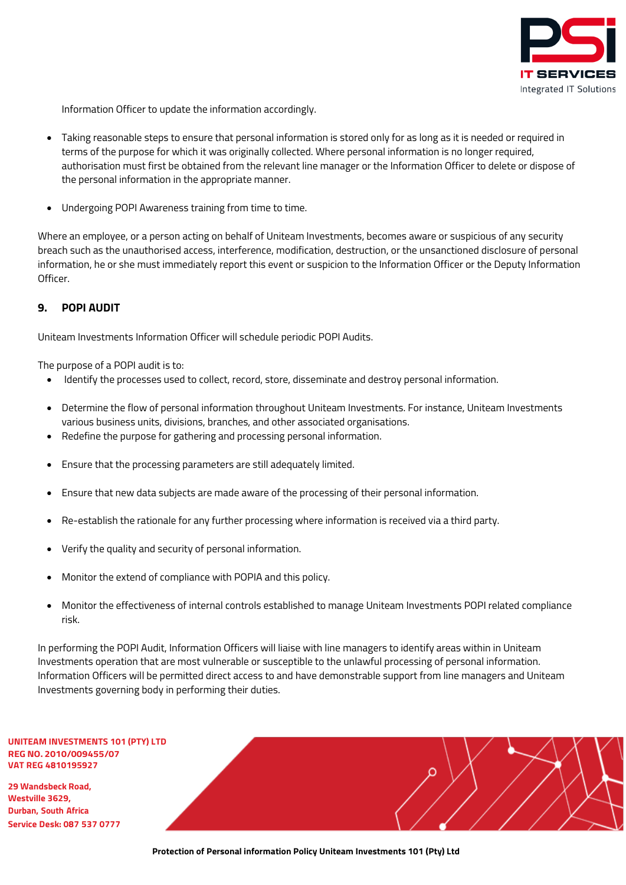

Information Officer to update the information accordingly.

- Taking reasonable steps to ensure that personal information is stored only for as long as it is needed or required in terms of the purpose for which it was originally collected. Where personal information is no longer required, authorisation must first be obtained from the relevant line manager or the Information Officer to delete or dispose of the personal information in the appropriate manner.
- Undergoing POPI Awareness training from time to time.

Where an employee, or a person acting on behalf of Uniteam Investments, becomes aware or suspicious of any security breach such as the unauthorised access, interference, modification, destruction, or the unsanctioned disclosure of personal information, he or she must immediately report this event or suspicion to the Information Officer or the Deputy Information Officer.

## <span id="page-18-0"></span>**9. POPI AUDIT**

Uniteam Investments Information Officer will schedule periodic POPI Audits.

The purpose of a POPI audit is to:

- Identify the processes used to collect, record, store, disseminate and destroy personal information.
- Determine the flow of personal information throughout Uniteam Investments. For instance, Uniteam Investments various business units, divisions, branches, and other associated organisations.
- Redefine the purpose for gathering and processing personal information.
- Ensure that the processing parameters are still adequately limited.
- Ensure that new data subjects are made aware of the processing of their personal information.
- Re-establish the rationale for any further processing where information is received via a third party.
- Verify the quality and security of personal information.
- Monitor the extend of compliance with POPIA and this policy.
- Monitor the effectiveness of internal controls established to manage Uniteam Investments POPI related compliance risk.

In performing the POPI Audit, Information Officers will liaise with line managers to identify areas within in Uniteam Investments operation that are most vulnerable or susceptible to the unlawful processing of personal information. Information Officers will be permitted direct access to and have demonstrable support from line managers and Uniteam Investments governing body in performing their duties.

**UNITEAM INVESTMENTS 101 (PTY) LTD REG NO. 2010/009455/07 VAT REG 4810195927**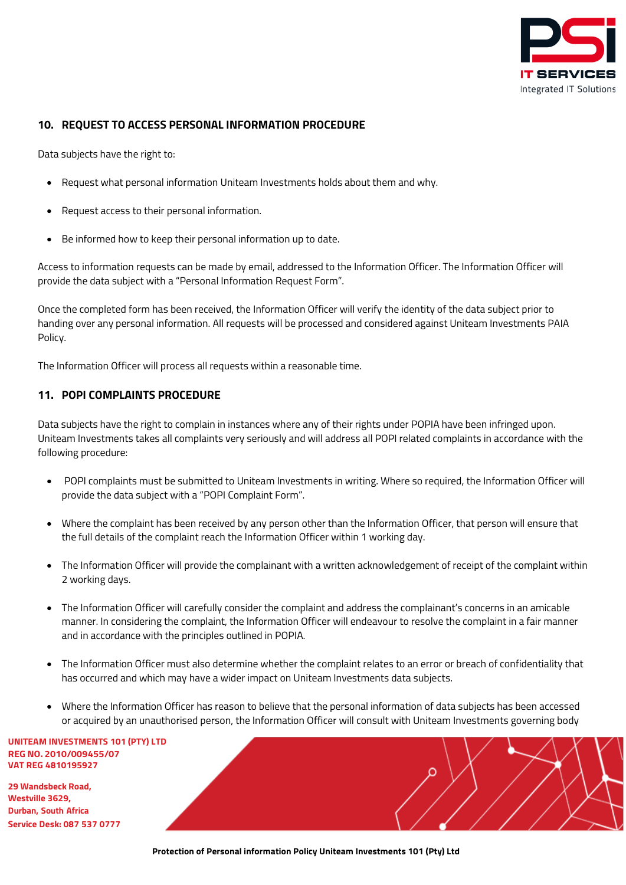

## <span id="page-19-0"></span>**10. REQUEST TO ACCESS PERSONAL INFORMATION PROCEDURE**

Data subjects have the right to:

- Request what personal information Uniteam Investments holds about them and why.
- Request access to their personal information.
- Be informed how to keep their personal information up to date.

Access to information requests can be made by email, addressed to the Information Officer. The Information Officer will provide the data subject with a "Personal Information Request Form".

Once the completed form has been received, the Information Officer will verify the identity of the data subject prior to handing over any personal information. All requests will be processed and considered against Uniteam Investments PAIA Policy.

The Information Officer will process all requests within a reasonable time.

## <span id="page-19-1"></span>**11. POPI COMPLAINTS PROCEDURE**

Data subjects have the right to complain in instances where any of their rights under POPIA have been infringed upon. Uniteam Investments takes all complaints very seriously and will address all POPI related complaints in accordance with the following procedure:

- POPI complaints must be submitted to Uniteam Investments in writing. Where so required, the Information Officer will provide the data subject with a "POPI Complaint Form".
- Where the complaint has been received by any person other than the Information Officer, that person will ensure that the full details of the complaint reach the Information Officer within 1 working day.
- The Information Officer will provide the complainant with a written acknowledgement of receipt of the complaint within 2 working days.
- The Information Officer will carefully consider the complaint and address the complainant's concerns in an amicable manner. In considering the complaint, the Information Officer will endeavour to resolve the complaint in a fair manner and in accordance with the principles outlined in POPIA.
- The Information Officer must also determine whether the complaint relates to an error or breach of confidentiality that has occurred and which may have a wider impact on Uniteam Investments data subjects.
- Where the Information Officer has reason to believe that the personal information of data subjects has been accessed or acquired by an unauthorised person, the Information Officer will consult with Uniteam Investments governing body

**UNITEAM INVESTMENTS 101 (PTY) LTD REG NO. 2010/009455/07 VAT REG 4810195927**

**29 Wandsbeck Road, Westville 3629, Durban, South Africa Service Desk: 087 537 0777**

**Protection of Personal information Policy Uniteam Investments 101 (Pty) Ltd**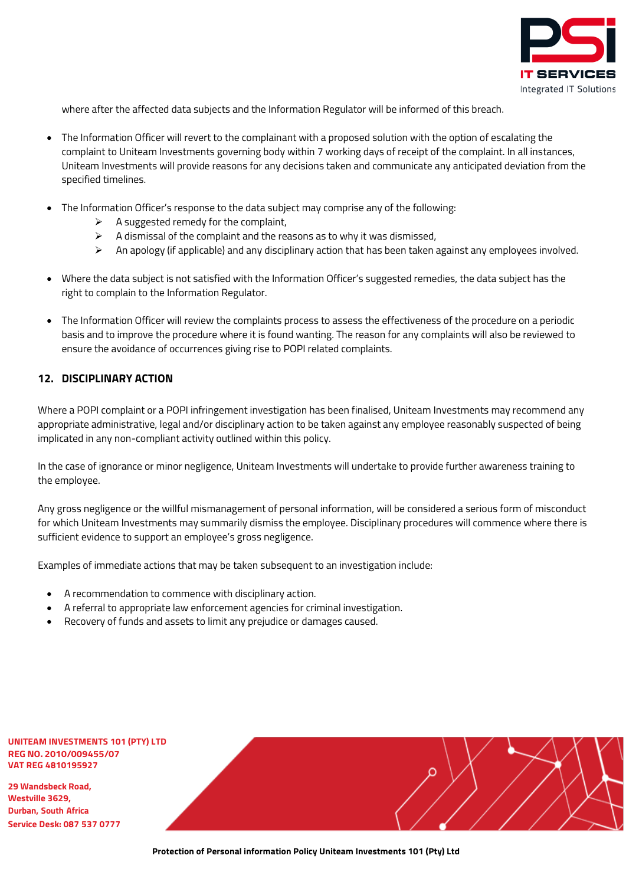

where after the affected data subjects and the Information Regulator will be informed of this breach.

- The Information Officer will revert to the complainant with a proposed solution with the option of escalating the complaint to Uniteam Investments governing body within 7 working days of receipt of the complaint. In all instances, Uniteam Investments will provide reasons for any decisions taken and communicate any anticipated deviation from the specified timelines.
- The Information Officer's response to the data subject may comprise any of the following:
	- $\triangleright$  A suggested remedy for the complaint,
	- $\triangleright$  A dismissal of the complaint and the reasons as to why it was dismissed,
	- $\triangleright$  An apology (if applicable) and any disciplinary action that has been taken against any employees involved.
- Where the data subject is not satisfied with the Information Officer's suggested remedies, the data subject has the right to complain to the Information Regulator.
- The Information Officer will review the complaints process to assess the effectiveness of the procedure on a periodic basis and to improve the procedure where it is found wanting. The reason for any complaints will also be reviewed to ensure the avoidance of occurrences giving rise to POPI related complaints.

## <span id="page-20-0"></span>**12. DISCIPLINARY ACTION**

Where a POPI complaint or a POPI infringement investigation has been finalised, Uniteam Investments may recommend any appropriate administrative, legal and/or disciplinary action to be taken against any employee reasonably suspected of being implicated in any non-compliant activity outlined within this policy.

In the case of ignorance or minor negligence, Uniteam Investments will undertake to provide further awareness training to the employee.

Any gross negligence or the willful mismanagement of personal information, will be considered a serious form of misconduct for which Uniteam Investments may summarily dismiss the employee. Disciplinary procedures will commence where there is sufficient evidence to support an employee's gross negligence.

Examples of immediate actions that may be taken subsequent to an investigation include:

- A recommendation to commence with disciplinary action.
- A referral to appropriate law enforcement agencies for criminal investigation.
- Recovery of funds and assets to limit any prejudice or damages caused.

#### **UNITEAM INVESTMENTS 101 (PTY) LTD REG NO. 2010/009455/07 VAT REG 4810195927**

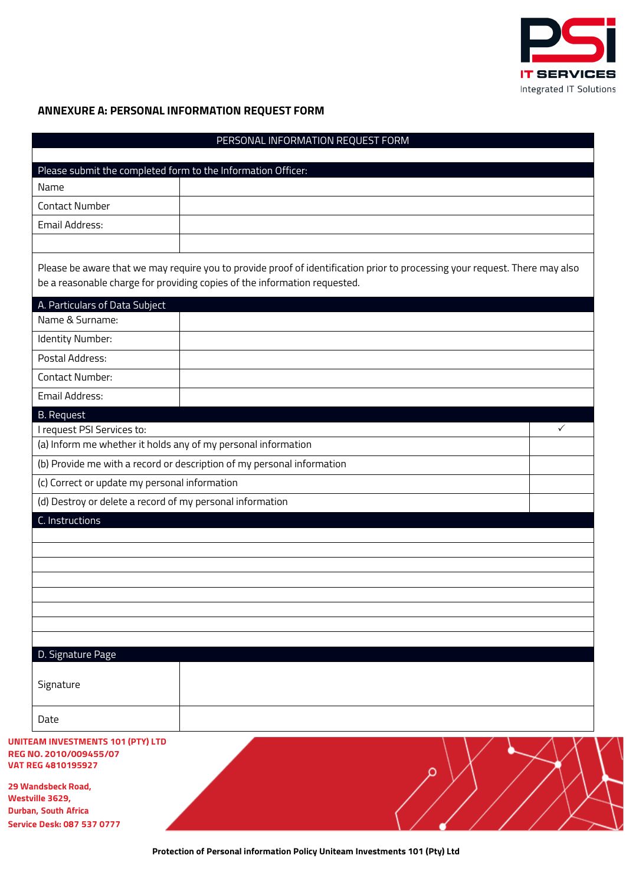

## <span id="page-21-0"></span>**ANNEXURE A: PERSONAL INFORMATION REQUEST FORM**

|                                                           |                                                                           | PERSONAL INFORMATION REQUEST FORM                                                                                           |
|-----------------------------------------------------------|---------------------------------------------------------------------------|-----------------------------------------------------------------------------------------------------------------------------|
|                                                           | Please submit the completed form to the Information Officer:              |                                                                                                                             |
| Name                                                      |                                                                           |                                                                                                                             |
| <b>Contact Number</b>                                     |                                                                           |                                                                                                                             |
| Email Address:                                            |                                                                           |                                                                                                                             |
|                                                           | be a reasonable charge for providing copies of the information requested. | Please be aware that we may require you to provide proof of identification prior to processing your request. There may also |
| A. Particulars of Data Subject                            |                                                                           |                                                                                                                             |
| Name & Surname:                                           |                                                                           |                                                                                                                             |
| Identity Number:                                          |                                                                           |                                                                                                                             |
| Postal Address:                                           |                                                                           |                                                                                                                             |
| <b>Contact Number:</b>                                    |                                                                           |                                                                                                                             |
| Email Address:                                            |                                                                           |                                                                                                                             |
| <b>B.</b> Request                                         |                                                                           |                                                                                                                             |
| I request PSI Services to:                                |                                                                           | $\checkmark$                                                                                                                |
|                                                           | (a) Inform me whether it holds any of my personal information             |                                                                                                                             |
|                                                           | (b) Provide me with a record or description of my personal information    |                                                                                                                             |
| (c) Correct or update my personal information             |                                                                           |                                                                                                                             |
|                                                           | (d) Destroy or delete a record of my personal information                 |                                                                                                                             |
| C. Instructions                                           |                                                                           |                                                                                                                             |
|                                                           |                                                                           |                                                                                                                             |
|                                                           |                                                                           |                                                                                                                             |
|                                                           |                                                                           |                                                                                                                             |
|                                                           |                                                                           |                                                                                                                             |
|                                                           |                                                                           |                                                                                                                             |
|                                                           |                                                                           |                                                                                                                             |
|                                                           |                                                                           |                                                                                                                             |
| D. Signature Page                                         |                                                                           |                                                                                                                             |
|                                                           |                                                                           |                                                                                                                             |
| Signature                                                 |                                                                           |                                                                                                                             |
| Date                                                      |                                                                           |                                                                                                                             |
| <b>UNITEAM INVESTMENTS 101 (PTY) LTD</b>                  |                                                                           |                                                                                                                             |
| REG NO. 2010/009455/07                                    |                                                                           |                                                                                                                             |
| <b>VAT REG 4810195927</b>                                 |                                                                           |                                                                                                                             |
| 29 Wandsbeck Road,                                        |                                                                           |                                                                                                                             |
| Westville 3629,                                           |                                                                           |                                                                                                                             |
| Durban, South Africa<br><b>Service Desk: 087 537 0777</b> |                                                                           |                                                                                                                             |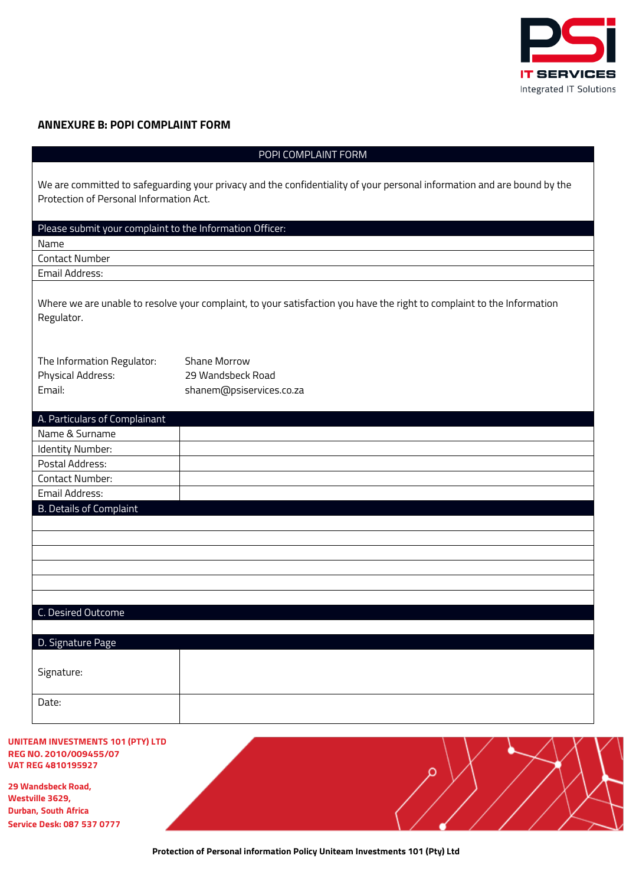

## <span id="page-22-0"></span>**ANNEXURE B: POPI COMPLAINT FORM**

| POPI COMPLAINT FORM                                       |                                                                                                                         |  |
|-----------------------------------------------------------|-------------------------------------------------------------------------------------------------------------------------|--|
| Protection of Personal Information Act.                   | We are committed to safeguarding your privacy and the confidentiality of your personal information and are bound by the |  |
| Please submit your complaint to the Information Officer:  |                                                                                                                         |  |
| Name                                                      |                                                                                                                         |  |
| <b>Contact Number</b>                                     |                                                                                                                         |  |
| Email Address:                                            |                                                                                                                         |  |
| Regulator.                                                | Where we are unable to resolve your complaint, to your satisfaction you have the right to complaint to the Information  |  |
| The Information Regulator:<br>Physical Address:<br>Email: | <b>Shane Morrow</b><br>29 Wandsbeck Road<br>shanem@psiservices.co.za                                                    |  |
| A. Particulars of Complainant                             |                                                                                                                         |  |
| Name & Surname                                            |                                                                                                                         |  |
| Identity Number:                                          |                                                                                                                         |  |
| Postal Address:                                           |                                                                                                                         |  |
| <b>Contact Number:</b>                                    |                                                                                                                         |  |
| Email Address:                                            |                                                                                                                         |  |
| <b>B. Details of Complaint</b>                            |                                                                                                                         |  |
|                                                           |                                                                                                                         |  |
|                                                           |                                                                                                                         |  |
|                                                           |                                                                                                                         |  |
| C. Desired Outcome                                        |                                                                                                                         |  |
| D. Signature Page                                         |                                                                                                                         |  |
| Signature:                                                |                                                                                                                         |  |
| Date:                                                     |                                                                                                                         |  |

#### **UNITEAM INVESTMENTS 101 (PTY) LTD REG NO. 2010/009455/07 VAT REG 4810195927**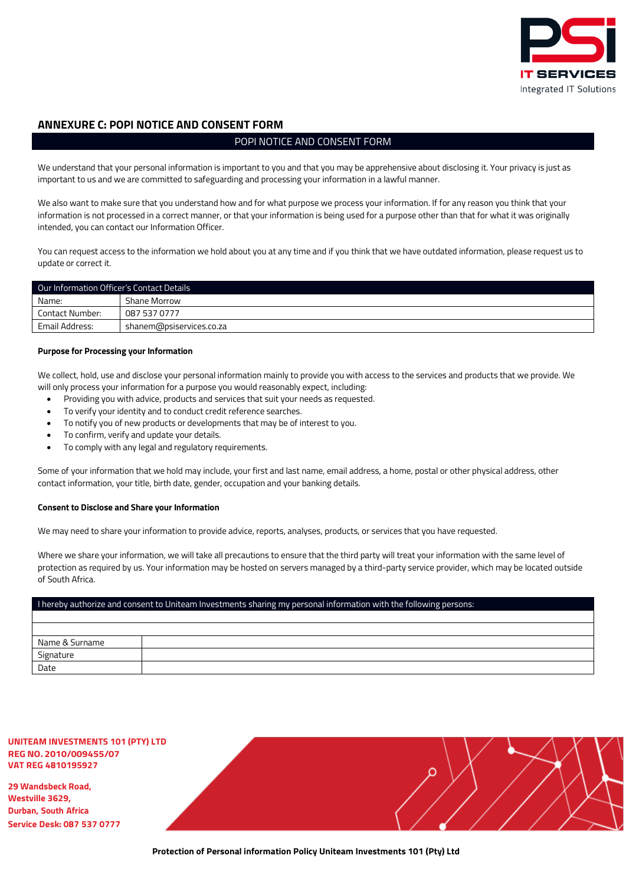

#### <span id="page-23-0"></span>**ANNEXURE C: POPI NOTICE AND CONSENT FORM**

#### POPI NOTICE AND CONSENT FORM

We understand that your personal information is important to you and that you may be apprehensive about disclosing it. Your privacy is just as important to us and we are committed to safeguarding and processing your information in a lawful manner.

We also want to make sure that you understand how and for what purpose we process your information. If for any reason you think that your information is not processed in a correct manner, or that your information is being used for a purpose other than that for what it was originally intended, you can contact our Information Officer.

You can request access to the information we hold about you at any time and if you think that we have outdated information, please request us to update or correct it.

| Our Information Officer's Contact Details |                          |  |
|-------------------------------------------|--------------------------|--|
| Name:                                     | Shane Morrow             |  |
| Contact Number:                           | 087 537 0777             |  |
| Email Address:                            | shanem@psiservices.co.za |  |

#### **Purpose for Processing your Information**

We collect, hold, use and disclose your personal information mainly to provide you with access to the services and products that we provide. We will only process your information for a purpose you would reasonably expect, including:

- Providing you with advice, products and services that suit your needs as requested.
- To verify your identity and to conduct credit reference searches.
- To notify you of new products or developments that may be of interest to you.
- To confirm, verify and update your details.
- To comply with any legal and regulatory requirements.

Some of your information that we hold may include, your first and last name, email address, a home, postal or other physical address, other contact information, your title, birth date, gender, occupation and your banking details.

#### **Consent to Disclose and Share your Information**

We may need to share your information to provide advice, reports, analyses, products, or services that you have requested.

Where we share your information, we will take all precautions to ensure that the third party will treat your information with the same level of protection as required by us. Your information may be hosted on servers managed by a third-party service provider, which may be located outside of South Africa.

## I hereby authorize and consent to Uniteam Investments sharing my personal information with the following persons: Name & Surname Signature Date

#### **UNITEAM INVESTMENTS 101 (PTY) LTD REG NO. 2010/009455/07 VAT REG 4810195927**

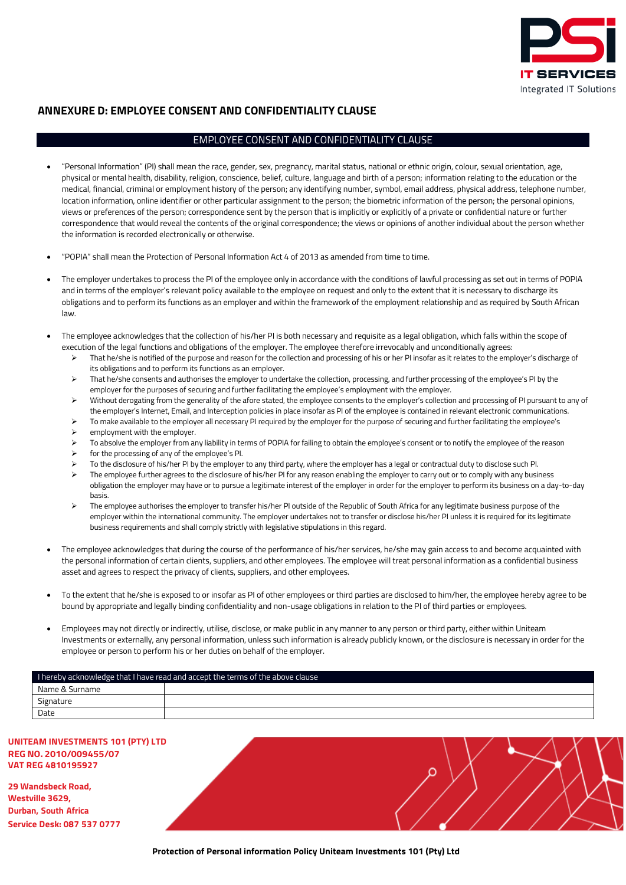

## <span id="page-24-0"></span>**ANNEXURE D: EMPLOYEE CONSENT AND CONFIDENTIALITY CLAUSE**

#### EMPLOYEE CONSENT AND CONFIDENTIALITY CLAUSE

- "Personal Information" (PI) shall mean the race, gender, sex, pregnancy, marital status, national or ethnic origin, colour, sexual orientation, age, physical or mental health, disability, religion, conscience, belief, culture, language and birth of a person; information relating to the education or the medical, financial, criminal or employment history of the person; any identifying number, symbol, email address, physical address, telephone number, location information, online identifier or other particular assignment to the person; the biometric information of the person; the personal opinions, views or preferences of the person; correspondence sent by the person that is implicitly or explicitly of a private or confidential nature or further correspondence that would reveal the contents of the original correspondence; the views or opinions of another individual about the person whether the information is recorded electronically or otherwise.
- "POPIA" shall mean the Protection of Personal Information Act 4 of 2013 as amended from time to time.
- The employer undertakes to process the PI of the employee only in accordance with the conditions of lawful processing as set out in terms of POPIA and in terms of the employer's relevant policy available to the employee on request and only to the extent that it is necessary to discharge its obligations and to perform its functions as an employer and within the framework of the employment relationship and as required by South African law.
- The employee acknowledges that the collection of his/her PI is both necessary and requisite as a legal obligation, which falls within the scope of execution of the legal functions and obligations of the employer. The employee therefore irrevocably and unconditionally agrees:
	- > That he/she is notified of the purpose and reason for the collection and processing of his or her PI insofar as it relates to the employer's discharge of its obligations and to perform its functions as an employer.
	- > That he/she consents and authorises the employer to undertake the collection, processing, and further processing of the employee's PI by the employer for the purposes of securing and further facilitating the employee's employment with the employer.
	- ▶ Without derogating from the generality of the afore stated, the employee consents to the employer's collection and processing of PI pursuant to any of the employer's Internet, Email, and Interception policies in place insofar as PI of the employee is contained in relevant electronic communications.
	- To make available to the employer all necessary PI required by the employer for the purpose of securing and further facilitating the employee's
	- employment with the employer.
	- > To absolve the employer from any liability in terms of POPIA for failing to obtain the employee's consent or to notify the employee of the reason
	- for the processing of any of the employee's PI.
	- To the disclosure of his/her PI by the employer to any third party, where the employer has a legal or contractual duty to disclose such PI.
	- The employee further agrees to the disclosure of his/her PI for any reason enabling the employer to carry out or to comply with any business obligation the employer may have or to pursue a legitimate interest of the employer in order for the employer to perform its business on a day-to-day basis.
	- The employee authorises the employer to transfer his/her PI outside of the Republic of South Africa for any legitimate business purpose of the employer within the international community. The employer undertakes not to transfer or disclose his/her PI unless it is required for its legitimate business requirements and shall comply strictly with legislative stipulations in this regard.
- The employee acknowledges that during the course of the performance of his/her services, he/she may gain access to and become acquainted with the personal information of certain clients, suppliers, and other employees. The employee will treat personal information as a confidential business asset and agrees to respect the privacy of clients, suppliers, and other employees.
- To the extent that he/she is exposed to or insofar as PI of other employees or third parties are disclosed to him/her, the employee hereby agree to be bound by appropriate and legally binding confidentiality and non-usage obligations in relation to the PI of third parties or employees.
- Employees may not directly or indirectly, utilise, disclose, or make public in any manner to any person or third party, either within Uniteam Investments or externally, any personal information, unless such information is already publicly known, or the disclosure is necessary in order for the employee or person to perform his or her duties on behalf of the employer.

| I hereby acknowledge that I have read and accept the terms of the above clause |  |  |
|--------------------------------------------------------------------------------|--|--|
| Name & Surname                                                                 |  |  |
| Signature                                                                      |  |  |
| Date                                                                           |  |  |

#### **UNITEAM INVESTMENTS 101 (PTY) LTD REG NO. 2010/009455/07 VAT REG 4810195927**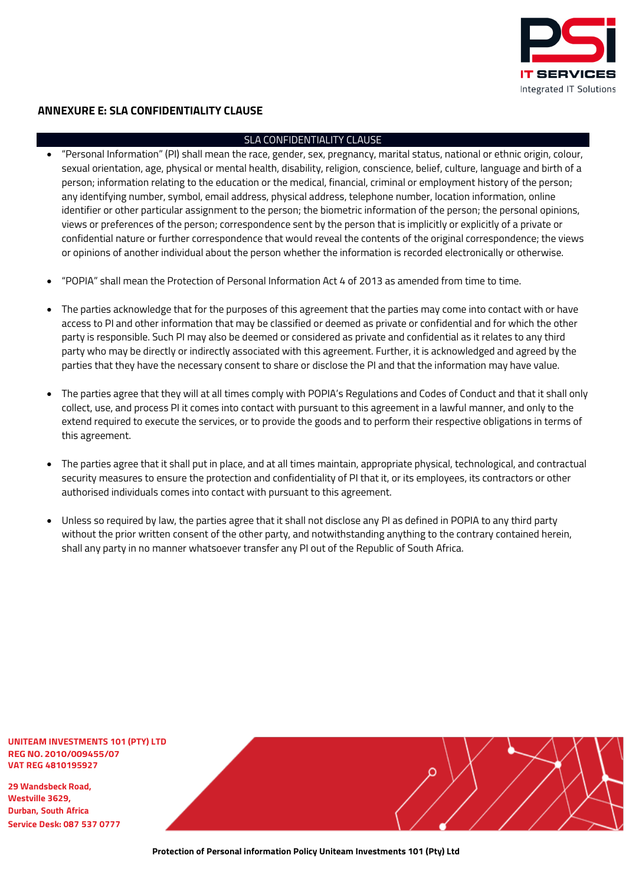

## <span id="page-25-0"></span>**ANNEXURE E: SLA CONFIDENTIALITY CLAUSE**

#### SLA CONFIDENTIALITY CLAUSE

- "Personal Information" (PI) shall mean the race, gender, sex, pregnancy, marital status, national or ethnic origin, colour, sexual orientation, age, physical or mental health, disability, religion, conscience, belief, culture, language and birth of a person; information relating to the education or the medical, financial, criminal or employment history of the person; any identifying number, symbol, email address, physical address, telephone number, location information, online identifier or other particular assignment to the person; the biometric information of the person; the personal opinions, views or preferences of the person; correspondence sent by the person that is implicitly or explicitly of a private or confidential nature or further correspondence that would reveal the contents of the original correspondence; the views or opinions of another individual about the person whether the information is recorded electronically or otherwise.
- "POPIA" shall mean the Protection of Personal Information Act 4 of 2013 as amended from time to time.
- The parties acknowledge that for the purposes of this agreement that the parties may come into contact with or have access to PI and other information that may be classified or deemed as private or confidential and for which the other party is responsible. Such PI may also be deemed or considered as private and confidential as it relates to any third party who may be directly or indirectly associated with this agreement. Further, it is acknowledged and agreed by the parties that they have the necessary consent to share or disclose the PI and that the information may have value.
- The parties agree that they will at all times comply with POPIA's Regulations and Codes of Conduct and that it shall only collect, use, and process PI it comes into contact with pursuant to this agreement in a lawful manner, and only to the extend required to execute the services, or to provide the goods and to perform their respective obligations in terms of this agreement.
- The parties agree that it shall put in place, and at all times maintain, appropriate physical, technological, and contractual security measures to ensure the protection and confidentiality of PI that it, or its employees, its contractors or other authorised individuals comes into contact with pursuant to this agreement.
- Unless so required by law, the parties agree that it shall not disclose any PI as defined in POPIA to any third party without the prior written consent of the other party, and notwithstanding anything to the contrary contained herein, shall any party in no manner whatsoever transfer any PI out of the Republic of South Africa.

**UNITEAM INVESTMENTS 101 (PTY) LTD REG NO. 2010/009455/07 VAT REG 4810195927**